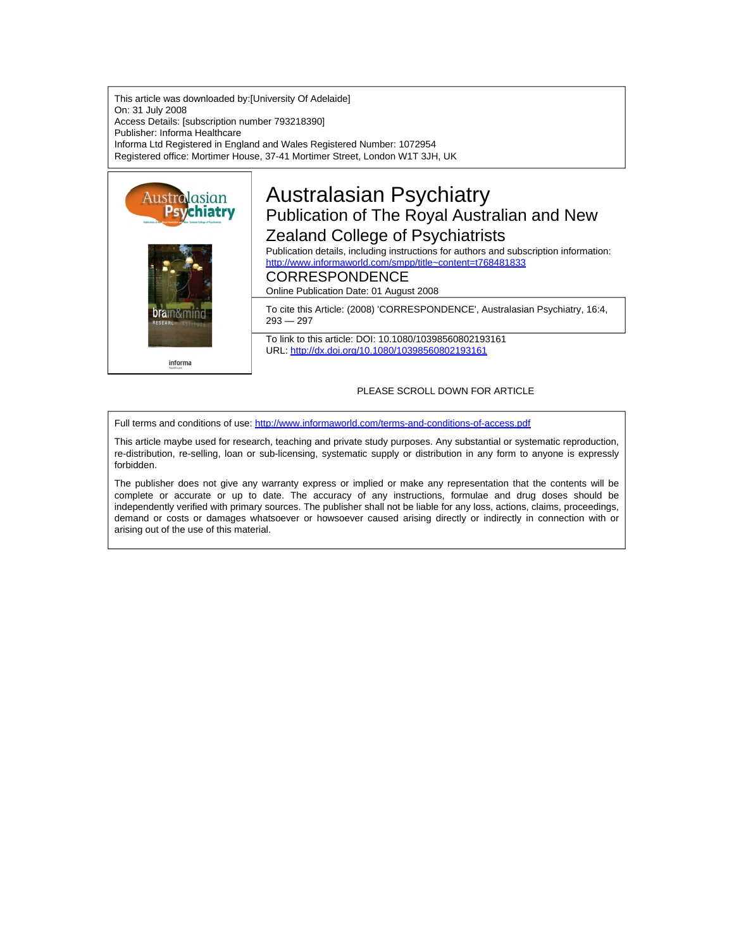This article was downloaded by:[University Of Adelaide] On: 31 July 2008 Access Details: [subscription number 793218390] Publisher: Informa Healthcare Informa Ltd Registered in England and Wales Registered Number: 1072954 Registered office: Mortimer House, 37-41 Mortimer Street, London W1T 3JH, UK



# Australasian Psychiatry Publication of The Royal Australian and New Zealand College of Psychiatrists

Publication details, including instructions for authors and subscription information: <http://www.informaworld.com/smpp/title~content=t768481833>

## CORRESPONDENCE

Online Publication Date: 01 August 2008

To cite this Article: (2008) 'CORRESPONDENCE', Australasian Psychiatry, 16:4, 293 — 297

To link to this article: DOI: 10.1080/10398560802193161 URL: <http://dx.doi.org/10.1080/10398560802193161>

### PLEASE SCROLL DOWN FOR ARTICLE

Full terms and conditions of use: <http://www.informaworld.com/terms-and-conditions-of-access.pdf>

This article maybe used for research, teaching and private study purposes. Any substantial or systematic reproduction, re-distribution, re-selling, loan or sub-licensing, systematic supply or distribution in any form to anyone is expressly forbidden.

The publisher does not give any warranty express or implied or make any representation that the contents will be complete or accurate or up to date. The accuracy of any instructions, formulae and drug doses should be independently verified with primary sources. The publisher shall not be liable for any loss, actions, claims, proceedings, demand or costs or damages whatsoever or howsoever caused arising directly or indirectly in connection with or arising out of the use of this material.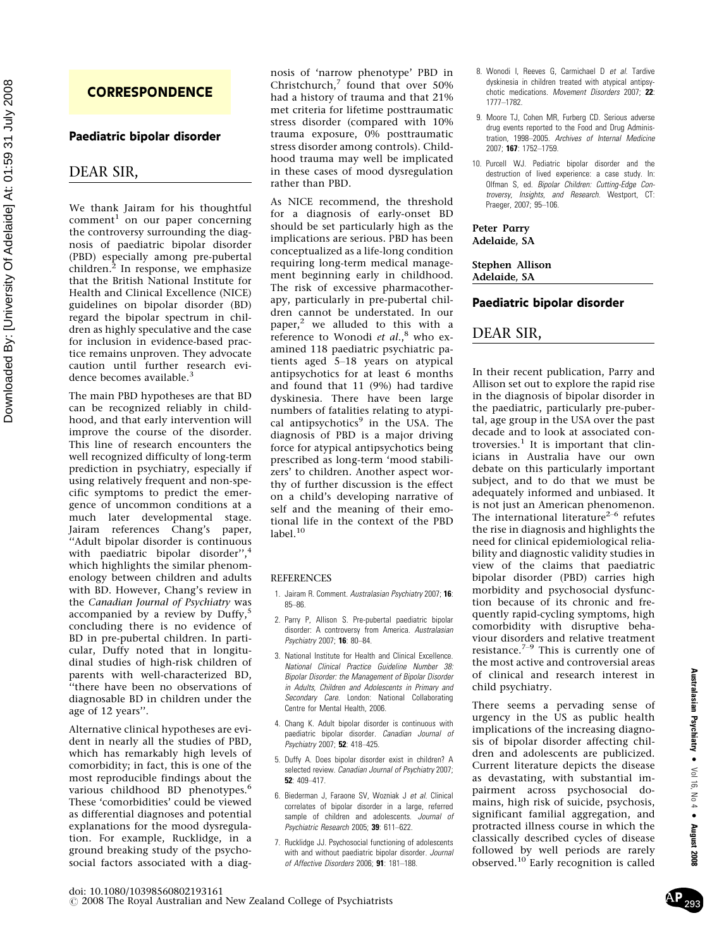### **CORRESPONDENCE**

### Paediatric bipolar disorder

### DEAR SIR,

We thank Jairam for his thoughtful comment<sup>1</sup> on our paper concerning the controversy surrounding the diagnosis of paediatric bipolar disorder (PBD) especially among pre-pubertal children.<sup>2</sup> In response, we emphasize that the British National Institute for Health and Clinical Excellence (NICE) guidelines on bipolar disorder (BD) regard the bipolar spectrum in children as highly speculative and the case for inclusion in evidence-based practice remains unproven. They advocate caution until further research evidence becomes available.<sup>3</sup>

The main PBD hypotheses are that BD can be recognized reliably in childhood, and that early intervention will improve the course of the disorder. This line of research encounters the well recognized difficulty of long-term prediction in psychiatry, especially if using relatively frequent and non-specific symptoms to predict the emergence of uncommon conditions at a much later developmental stage. Jairam references Chang's paper, ''Adult bipolar disorder is continuous with paediatric bipolar disorder",<sup>4</sup> which highlights the similar phenomenology between children and adults with BD. However, Chang's review in the Canadian Journal of Psychiatry was accompanied by a review by Duffy, $5$ concluding there is no evidence of BD in pre-pubertal children. In particular, Duffy noted that in longitudinal studies of high-risk children of parents with well-characterized BD, ''there have been no observations of diagnosable BD in children under the age of 12 years''.

Alternative clinical hypotheses are evident in nearly all the studies of PBD, which has remarkably high levels of comorbidity; in fact, this is one of the most reproducible findings about the various childhood BD phenotypes.<sup>6</sup> These 'comorbidities' could be viewed as differential diagnoses and potential explanations for the mood dysregulation. For example, Rucklidge, in a ground breaking study of the psychosocial factors associated with a diagnosis of 'narrow phenotype' PBD in Christchurch, $7$  found that over 50% had a history of trauma and that 21% met criteria for lifetime posttraumatic stress disorder (compared with 10% trauma exposure, 0% posttraumatic stress disorder among controls). Childhood trauma may well be implicated in these cases of mood dysregulation rather than PBD.

As NICE recommend, the threshold for a diagnosis of early-onset BD should be set particularly high as the implications are serious. PBD has been conceptualized as a life-long condition requiring long-term medical management beginning early in childhood. The risk of excessive pharmacotherapy, particularly in pre-pubertal children cannot be understated. In our paper,<sup>2</sup> we alluded to this with a reference to Wonodi et  $al.^8$  who examined 118 paediatric psychiatric patients aged  $5-18$  years on atypical antipsychotics for at least 6 months and found that 11 (9%) had tardive dyskinesia. There have been large numbers of fatalities relating to atypical antipsychotics $9$  in the USA. The diagnosis of PBD is a major driving force for atypical antipsychotics being prescribed as long-term 'mood stabilizers' to children. Another aspect worthy of further discussion is the effect on a child's developing narrative of self and the meaning of their emotional life in the context of the PBD label. $^{10}$ 

#### REFERENCES

- 1. Jairam R. Comment. Australasian Psychiatry 2007; 16: 85-86
- 2. Parry P, Allison S. Pre-pubertal paediatric bipolar disorder: A controversy from America. Australasian Psychiatry 2007; 16: 80-84.
- 3. National Institute for Health and Clinical Excellence. National Clinical Practice Guideline Number 38: Bipolar Disorder: the Management of Bipolar Disorder in Adults, Children and Adolescents in Primary and Secondary Care. London: National Collaborating Centre for Mental Health, 2006.
- 4. Chang K. Adult bipolar disorder is continuous with paediatric bipolar disorder. Canadian Journal of Psychiatry 2007: 52: 418-425.
- 5. Duffy A. Does bipolar disorder exist in children? A selected review. Canadian Journal of Psychiatry 2007; 52:  $409 - 417$ .
- 6. Biederman J, Faraone SV, Wozniak J et al. Clinical correlates of bipolar disorder in a large, referred sample of children and adolescents. Journal of Psychiatric Research 2005; 39: 611-622.
- 7. Rucklidge JJ. Psychosocial functioning of adolescents with and without paediatric bipolar disorder. Journal of Affective Disorders 2006; 91: 181-188.
- 8. Wonodi I, Reeves G, Carmichael D et al. Tardive dyskinesia in children treated with atypical antipsychotic medications. Movement Disorders 2007; 22: 1777-1782.
- 9. Moore TJ, Cohen MR, Furberg CD. Serious adverse drug events reported to the Food and Drug Administration, 1998-2005. Archives of Internal Medicine 2007; 167: 1752-1759.
- 10. Purcell WJ. Pediatric bipolar disorder and the destruction of lived experience: a case study. In: Olfman S, ed. Bipolar Children: Cutting-Edge Controversy, Insights, and Research. Westport, CT: Praeger, 2007; 95-106.

### Peter Parry

Adelaide, SA

#### Stephen Allison Adelaide, SA

### Paediatric bipolar disorder

### DEAR SIR,

In their recent publication, Parry and Allison set out to explore the rapid rise in the diagnosis of bipolar disorder in the paediatric, particularly pre-pubertal, age group in the USA over the past decade and to look at associated controversies. $1$  It is important that clinicians in Australia have our own debate on this particularly important subject, and to do that we must be adequately informed and unbiased. It is not just an American phenomenon. The international literature<sup>2-6</sup> refutes the rise in diagnosis and highlights the need for clinical epidemiological reliability and diagnostic validity studies in view of the claims that paediatric bipolar disorder (PBD) carries high morbidity and psychosocial dysfunction because of its chronic and frequently rapid-cycling symptoms, high comorbidity with disruptive behaviour disorders and relative treatment<br>resistance.<sup>7–9</sup> This is currently one of the most active and controversial areas of clinical and research interest in child psychiatry.

There seems a pervading sense of urgency in the US as public health implications of the increasing diagnosis of bipolar disorder affecting children and adolescents are publicized. Current literature depicts the disease as devastating, with substantial impairment across psychosocial domains, high risk of suicide, psychosis, significant familial aggregation, and protracted illness course in which the classically described cycles of disease followed by well periods are rarely observed.<sup>10</sup> Early recognition is called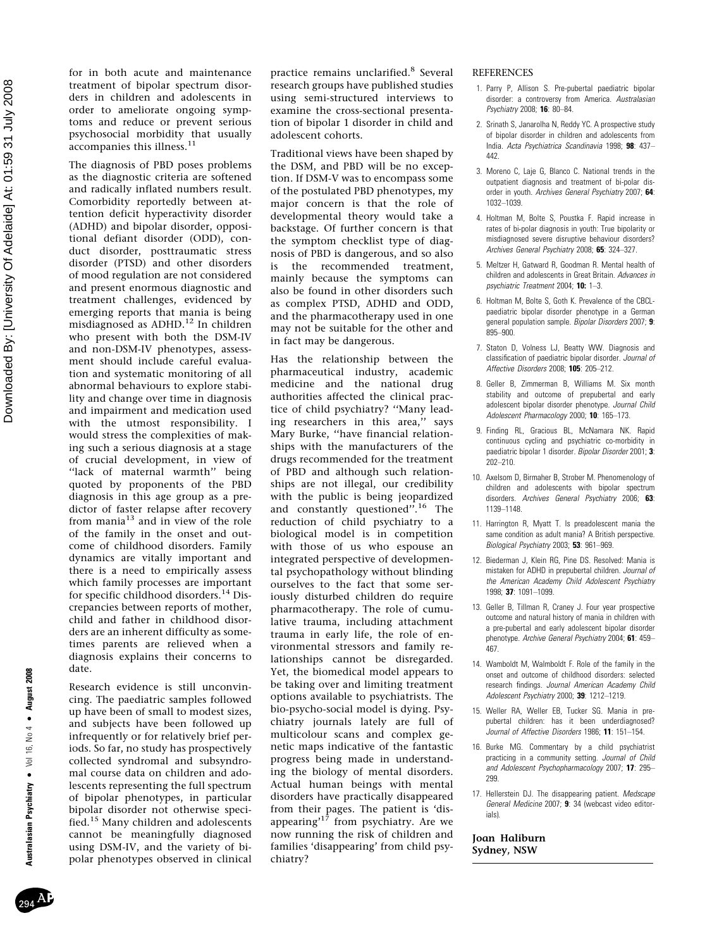$N_0 4$  • August 2008 Australasian Psychiatry ● Vol 16, No 4 ● August 2008 Australasian Psychiatry . Vol 16,

for in both acute and maintenance treatment of bipolar spectrum disorders in children and adolescents in order to ameliorate ongoing symptoms and reduce or prevent serious psychosocial morbidity that usually accompanies this illness.<sup>11</sup>

The diagnosis of PBD poses problems as the diagnostic criteria are softened and radically inflated numbers result. Comorbidity reportedly between attention deficit hyperactivity disorder (ADHD) and bipolar disorder, oppositional defiant disorder (ODD), conduct disorder, posttraumatic stress disorder (PTSD) and other disorders of mood regulation are not considered and present enormous diagnostic and treatment challenges, evidenced by emerging reports that mania is being misdiagnosed as ADHD.<sup>12</sup> In children who present with both the DSM-IV and non-DSM-IV phenotypes, assessment should include careful evaluation and systematic monitoring of all abnormal behaviours to explore stability and change over time in diagnosis and impairment and medication used with the utmost responsibility. I would stress the complexities of making such a serious diagnosis at a stage of crucial development, in view of ''lack of maternal warmth'' being quoted by proponents of the PBD diagnosis in this age group as a predictor of faster relapse after recovery from mania $13$  and in view of the role of the family in the onset and outcome of childhood disorders. Family dynamics are vitally important and there is a need to empirically assess which family processes are important for specific childhood disorders.<sup>14</sup> Discrepancies between reports of mother, child and father in childhood disorders are an inherent difficulty as sometimes parents are relieved when a diagnosis explains their concerns to date.

Research evidence is still unconvincing. The paediatric samples followed up have been of small to modest sizes, and subjects have been followed up infrequently or for relatively brief periods. So far, no study has prospectively collected syndromal and subsyndromal course data on children and adolescents representing the full spectrum of bipolar phenotypes, in particular bipolar disorder not otherwise specified.<sup>15</sup> Many children and adolescents cannot be meaningfully diagnosed using DSM-IV, and the variety of bipolar phenotypes observed in clinical practice remains unclarified.<sup>8</sup> Several research groups have published studies using semi-structured interviews to examine the cross-sectional presentation of bipolar 1 disorder in child and adolescent cohorts.

Traditional views have been shaped by the DSM, and PBD will be no exception. If DSM-V was to encompass some of the postulated PBD phenotypes, my major concern is that the role of developmental theory would take a backstage. Of further concern is that the symptom checklist type of diagnosis of PBD is dangerous, and so also is the recommended treatment, mainly because the symptoms can also be found in other disorders such as complex PTSD, ADHD and ODD, and the pharmacotherapy used in one may not be suitable for the other and in fact may be dangerous.

Has the relationship between the pharmaceutical industry, academic medicine and the national drug authorities affected the clinical practice of child psychiatry? ''Many leading researchers in this area,'' says Mary Burke, ''have financial relationships with the manufacturers of the drugs recommended for the treatment of PBD and although such relationships are not illegal, our credibility with the public is being jeopardized and constantly questioned".<sup>16</sup> The reduction of child psychiatry to a biological model is in competition with those of us who espouse an integrated perspective of developmental psychopathology without blinding ourselves to the fact that some seriously disturbed children do require pharmacotherapy. The role of cumulative trauma, including attachment trauma in early life, the role of environmental stressors and family relationships cannot be disregarded. Yet, the biomedical model appears to be taking over and limiting treatment options available to psychiatrists. The bio-psycho-social model is dying. Psychiatry journals lately are full of multicolour scans and complex genetic maps indicative of the fantastic progress being made in understanding the biology of mental disorders. Actual human beings with mental disorders have practically disappeared from their pages. The patient is 'disappearing'<sup>17</sup> from psychiatry. Are we now running the risk of children and families 'disappearing' from child psychiatry?

### **REFERENCES**

- 1. Parry P, Allison S. Pre-pubertal paediatric bipolar disorder: a controversy from America. Australasian Psychiatry 2008; 16: 80-84.
- 2. Srinath S, Janarolha N, Reddy YC. A prospective study of bipolar disorder in children and adolescents from India. Acta Psychiatrica Scandinavia 1998; 98: 437-442.
- 3. Moreno C, Laje G, Blanco C. National trends in the outpatient diagnosis and treatment of bi-polar disorder in youth. Archives General Psychiatry 2007; 64: 1032-1039.
- 4. Holtman M, Bolte S, Poustka F. Rapid increase in rates of bi-polar diagnosis in youth: True bipolarity or misdiagnosed severe disruptive behaviour disorders? Archives General Psychiatry 2008; 65: 324-327
- 5. Meltzer H, Gatward R, Goodman R. Mental health of children and adolescents in Great Britain. Advances in psychiatric Treatment 2004; 10: 1-3.
- 6. Holtman M, Bolte S, Goth K. Prevalence of the CBCLpaediatric bipolar disorder phenotype in a German general population sample. Bipolar Disorders 2007; 9: 895-900
- 7. Staton D, Volness LJ, Beatty WW. Diagnosis and classification of paediatric bipolar disorder. Journal of Affective Disorders 2008; 105: 205-212.
- 8. Geller B, Zimmerman B, Williams M. Six month stability and outcome of prepubertal and early adolescent bipolar disorder phenotype. Journal Child Adolescent Pharmacology 2000; 10: 165-173.
- 9. Finding RL, Gracious BL, McNamara NK. Rapid continuous cycling and psychiatric co-morbidity in paediatric bipolar 1 disorder. Bipolar Disorder 2001; 3: 202-210
- 10. Axelsom D, Birmaher B, Strober M. Phenomenology of children and adolescents with bipolar spectrum disorders. Archives General Psychiatry 2006; 63: 1139-1148
- 11. Harrington R, Myatt T. Is preadolescent mania the same condition as adult mania? A British perspective. Biological Psychiatry 2003; 53: 961-969.
- 12. Biederman J, Klein RG, Pine DS. Resolved: Mania is mistaken for ADHD in prepubertal children. Journal of the American Academy Child Adolescent Psychiatry  $1998: 37: 1091 - 1099$
- 13. Geller B, Tillman R, Craney J. Four year prospective outcome and natural history of mania in children with a pre-pubertal and early adolescent bipolar disorder phenotype. Archive General Psychiatry 2004; 61: 459-467.
- 14. Wamboldt M, Walmboldt F. Role of the family in the onset and outcome of childhood disorders: selected research findings. Journal American Academy Child Adolescent Psychiatry 2000; 39: 1212-1219.
- 15. Weller RA, Weller EB, Tucker SG. Mania in prepubertal children: has it been underdiagnosed? Journal of Affective Disorders 1986; 11: 151-154.
- 16. Burke MG. Commentary by a child psychiatrist practicing in a community setting. Journal of Child and Adolescent Psychopharmacology 2007; 17: 295 299.
- 17. Hellerstein DJ. The disappearing patient. Medscape General Medicine 2007; 9: 34 (webcast video editorials).

#### Joan Haliburn Sydney, NSW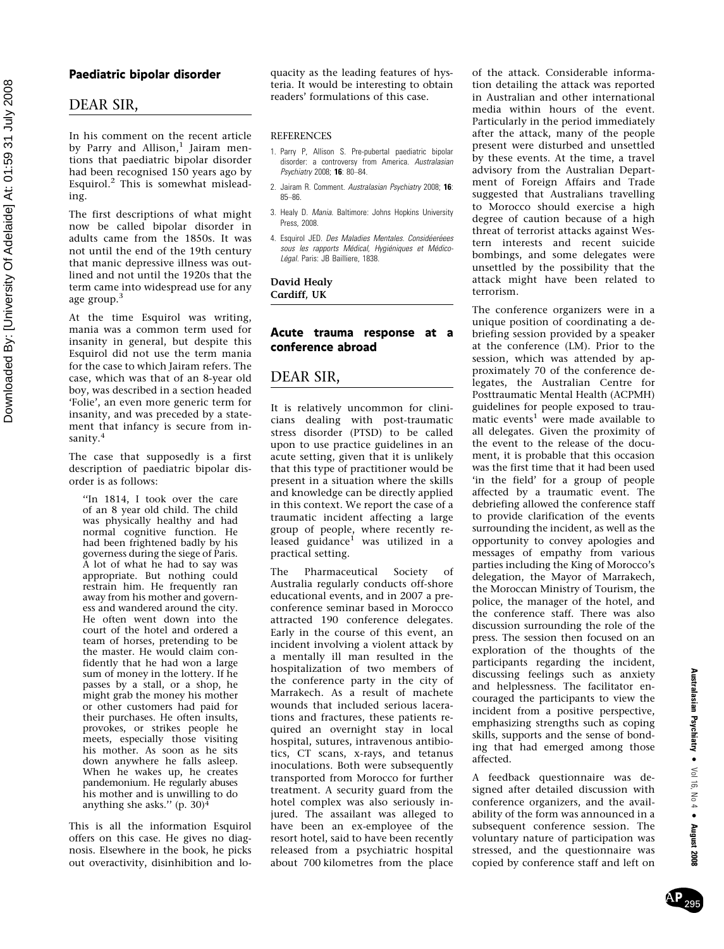### Paediatric bipolar disorder

### DEAR SIR,

In his comment on the recent article by Parry and Allison, $<sup>1</sup>$  Jairam men-</sup> tions that paediatric bipolar disorder had been recognised 150 years ago by Esquirol.<sup>2</sup> This is somewhat misleading.

The first descriptions of what might now be called bipolar disorder in adults came from the 1850s. It was not until the end of the 19th century that manic depressive illness was outlined and not until the 1920s that the term came into widespread use for any age group.<sup>3</sup>

At the time Esquirol was writing, mania was a common term used for insanity in general, but despite this Esquirol did not use the term mania for the case to which Jairam refers. The case, which was that of an 8-year old boy, was described in a section headed 'Folie', an even more generic term for insanity, and was preceded by a statement that infancy is secure from insanity.<sup>4</sup>

The case that supposedly is a first description of paediatric bipolar disorder is as follows:

''In 1814, I took over the care of an 8 year old child. The child was physically healthy and had normal cognitive function. He had been frightened badly by his governess during the siege of Paris. A lot of what he had to say was appropriate. But nothing could restrain him. He frequently ran away from his mother and governess and wandered around the city. He often went down into the court of the hotel and ordered a team of horses, pretending to be the master. He would claim confidently that he had won a large sum of money in the lottery. If he passes by a stall, or a shop, he might grab the money his mother or other customers had paid for their purchases. He often insults, provokes, or strikes people he meets, especially those visiting his mother. As soon as he sits down anywhere he falls asleep. When he wakes up, he creates pandemonium. He regularly abuses his mother and is unwilling to do anything she asks."  $(p. 30)^4$ 

This is all the information Esquirol offers on this case. He gives no diagnosis. Elsewhere in the book, he picks out overactivity, disinhibition and loquacity as the leading features of hysteria. It would be interesting to obtain readers' formulations of this case.

### **REFERENCES**

- 1. Parry P, Allison S. Pre-pubertal paediatric bipolar disorder: a controversy from America. Australasian Psychiatry 2008; 16: 80-84.
- 2. Jairam R. Comment. Australasian Psychiatry 2008; 16: 85-86
- 3. Healy D. Mania. Baltimore: Johns Hopkins University Press, 2008.
- 4. Esquirol JED. Des Maladies Mentales. Considéeréees sous les rapports Médical, Hygiéniques et Médico-Légal. Paris: JB Bailliere, 1838.

David Healy Cardiff, UK

### Acute trauma response at a conference abroad

### DEAR SIR,

It is relatively uncommon for clinicians dealing with post-traumatic stress disorder (PTSD) to be called upon to use practice guidelines in an acute setting, given that it is unlikely that this type of practitioner would be present in a situation where the skills and knowledge can be directly applied in this context. We report the case of a traumatic incident affecting a large group of people, where recently released guidance<sup>1</sup> was utilized in a practical setting.

The Pharmaceutical Society of Australia regularly conducts off-shore educational events, and in 2007 a preconference seminar based in Morocco attracted 190 conference delegates. Early in the course of this event, an incident involving a violent attack by a mentally ill man resulted in the hospitalization of two members of the conference party in the city of Marrakech. As a result of machete wounds that included serious lacerations and fractures, these patients required an overnight stay in local hospital, sutures, intravenous antibiotics, CT scans, x-rays, and tetanus inoculations. Both were subsequently transported from Morocco for further treatment. A security guard from the hotel complex was also seriously injured. The assailant was alleged to have been an ex-employee of the resort hotel, said to have been recently released from a psychiatric hospital about 700 kilometres from the place of the attack. Considerable information detailing the attack was reported in Australian and other international media within hours of the event. Particularly in the period immediately after the attack, many of the people present were disturbed and unsettled by these events. At the time, a travel advisory from the Australian Department of Foreign Affairs and Trade suggested that Australians travelling to Morocco should exercise a high degree of caution because of a high threat of terrorist attacks against Western interests and recent suicide bombings, and some delegates were unsettled by the possibility that the attack might have been related to terrorism.

The conference organizers were in a unique position of coordinating a debriefing session provided by a speaker at the conference (LM). Prior to the session, which was attended by approximately 70 of the conference delegates, the Australian Centre for Posttraumatic Mental Health (ACPMH) guidelines for people exposed to traumatic events<sup>1</sup> were made available to all delegates. Given the proximity of the event to the release of the document, it is probable that this occasion was the first time that it had been used 'in the field' for a group of people affected by a traumatic event. The debriefing allowed the conference staff to provide clarification of the events surrounding the incident, as well as the opportunity to convey apologies and messages of empathy from various parties including the King of Morocco's delegation, the Mayor of Marrakech, the Moroccan Ministry of Tourism, the police, the manager of the hotel, and the conference staff. There was also discussion surrounding the role of the press. The session then focused on an exploration of the thoughts of the participants regarding the incident, discussing feelings such as anxiety and helplessness. The facilitator encouraged the participants to view the incident from a positive perspective, emphasizing strengths such as coping skills, supports and the sense of bonding that had emerged among those affected.

A feedback questionnaire was designed after detailed discussion with conference organizers, and the availability of the form was announced in a subsequent conference session. The voluntary nature of participation was stressed, and the questionnaire was copied by conference staff and left on

AP 295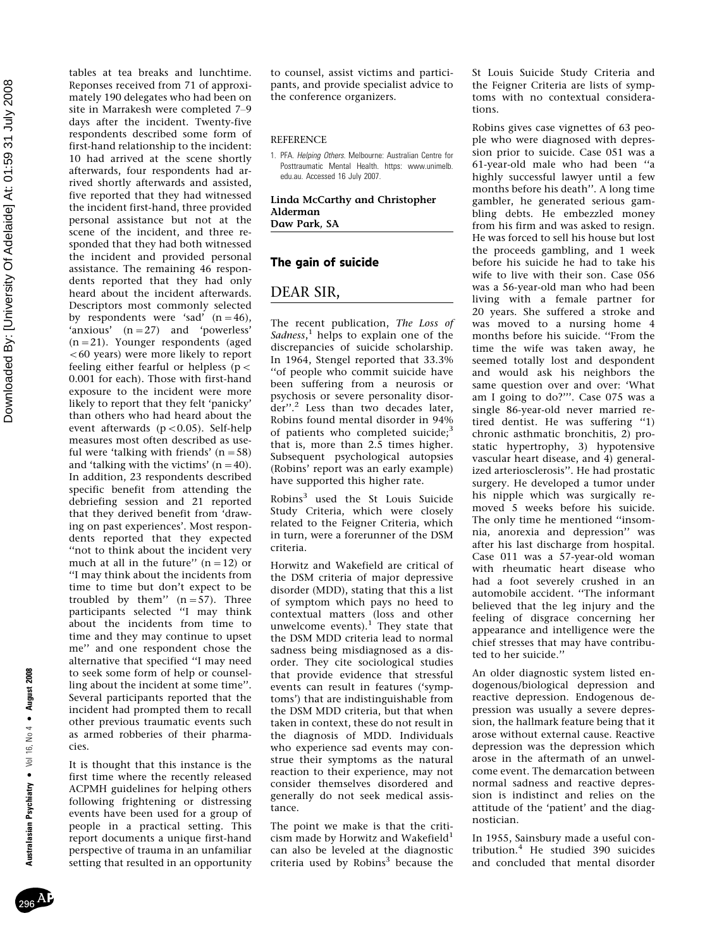tables at tea breaks and lunchtime. Reponses received from 71 of approximately 190 delegates who had been on site in Marrakesh were completed 7-9 days after the incident. Twenty-five respondents described some form of first-hand relationship to the incident: 10 had arrived at the scene shortly afterwards, four respondents had arrived shortly afterwards and assisted, five reported that they had witnessed the incident first-hand, three provided personal assistance but not at the scene of the incident, and three responded that they had both witnessed the incident and provided personal assistance. The remaining 46 respondents reported that they had only heard about the incident afterwards. Descriptors most commonly selected by respondents were 'sad'  $(n=46)$ , 'anxious' (n-27) and 'powerless' (n-21). Younger respondents (aged  $<$  60 years) were more likely to report feeling either fearful or helpless ( $p <$ 0.001 for each). Those with first-hand exposure to the incident were more likely to report that they felt 'panicky' than others who had heard about the event afterwards ( $p < 0.05$ ). Self-help measures most often described as useful were 'talking with friends'  $(n = 58)$ and 'talking with the victims'  $(n=40)$ . In addition, 23 respondents described specific benefit from attending the debriefing session and 21 reported that they derived benefit from 'drawing on past experiences'. Most respondents reported that they expected ''not to think about the incident very much at all in the future''  $(n=12)$  or ''I may think about the incidents from time to time but don't expect to be troubled by them''  $(n=57)$ . Three participants selected ''I may think about the incidents from time to time and they may continue to upset me'' and one respondent chose the alternative that specified ''I may need to seek some form of help or counselling about the incident at some time''. Several participants reported that the incident had prompted them to recall other previous traumatic events such as armed robberies of their pharmacies.

It is thought that this instance is the first time where the recently released ACPMH guidelines for helping others following frightening or distressing events have been used for a group of people in a practical setting. This report documents a unique first-hand perspective of trauma in an unfamiliar setting that resulted in an opportunity to counsel, assist victims and participants, and provide specialist advice to the conference organizers.

#### **REFERENCE**

1. PFA. Helping Others. Melbourne: Australian Centre for Posttraumatic Mental Health. https: www.unimelb. edu.au. Accessed 16 July 2007.

Linda McCarthy and Christopher Alderman Daw Park, SA

### The gain of suicide

### DEAR SIR,

The recent publication, The Loss of Sadness,<sup>1</sup> helps to explain one of the discrepancies of suicide scholarship. In 1964, Stengel reported that 33.3% ''of people who commit suicide have been suffering from a neurosis or psychosis or severe personality disorder".<sup>2</sup> Less than two decades later, Robins found mental disorder in 94% of patients who completed suicide;<sup>3</sup> that is, more than 2.5 times higher. Subsequent psychological autopsies (Robins' report was an early example) have supported this higher rate.

Robins<sup>3</sup> used the St Louis Suicide Study Criteria, which were closely related to the Feigner Criteria, which in turn, were a forerunner of the DSM criteria.

Horwitz and Wakefield are critical of the DSM criteria of major depressive disorder (MDD), stating that this a list of symptom which pays no heed to contextual matters (loss and other<br>unwelcome events).<sup>1</sup> They state that the DSM MDD criteria lead to normal sadness being misdiagnosed as a disorder. They cite sociological studies that provide evidence that stressful events can result in features ('symptoms') that are indistinguishable from the DSM MDD criteria, but that when taken in context, these do not result in the diagnosis of MDD. Individuals who experience sad events may construe their symptoms as the natural reaction to their experience, may not consider themselves disordered and generally do not seek medical assistance.

The point we make is that the criticism made by Horwitz and Wakefield<sup>1</sup> can also be leveled at the diagnostic criteria used by Robins<sup>3</sup> because the St Louis Suicide Study Criteria and the Feigner Criteria are lists of symptoms with no contextual considerations.

Robins gives case vignettes of 63 people who were diagnosed with depression prior to suicide. Case 051 was a 61-year-old male who had been ''a highly successful lawyer until a few months before his death''. A long time gambler, he generated serious gambling debts. He embezzled money from his firm and was asked to resign. He was forced to sell his house but lost the proceeds gambling, and 1 week before his suicide he had to take his wife to live with their son. Case 056 was a 56-year-old man who had been living with a female partner for 20 years. She suffered a stroke and was moved to a nursing home 4 months before his suicide. ''From the time the wife was taken away, he seemed totally lost and despondent and would ask his neighbors the same question over and over: 'What am I going to do?'''. Case 075 was a single 86-year-old never married retired dentist. He was suffering ''1) chronic asthmatic bronchitis, 2) prostatic hypertrophy, 3) hypotensive vascular heart disease, and 4) generalized arteriosclerosis''. He had prostatic surgery. He developed a tumor under his nipple which was surgically removed 5 weeks before his suicide. The only time he mentioned ''insomnia, anorexia and depression'' was after his last discharge from hospital. Case 011 was a 57-year-old woman with rheumatic heart disease who had a foot severely crushed in an automobile accident. ''The informant believed that the leg injury and the feeling of disgrace concerning her appearance and intelligence were the chief stresses that may have contributed to her suicide.''

An older diagnostic system listed endogenous/biological depression and reactive depression. Endogenous depression was usually a severe depression, the hallmark feature being that it arose without external cause. Reactive depression was the depression which arose in the aftermath of an unwelcome event. The demarcation between normal sadness and reactive depression is indistinct and relies on the attitude of the 'patient' and the diagnostician.

In 1955, Sainsbury made a useful contribution.<sup>4</sup> He studied 390 suicides and concluded that mental disorder

August 2008

No 4 •

 $296$ A